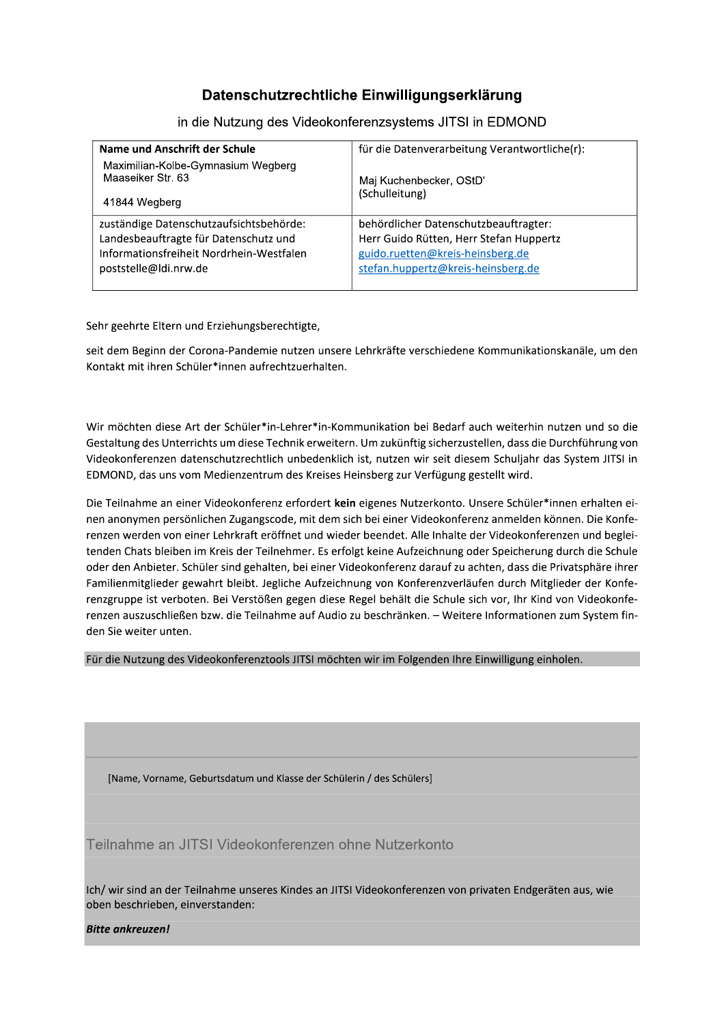### Datenschutzrechtliche Einwilligungserklaru

| Datenschutzrechtliche Einwilligungserklärung                                                                                                          |                                                                                                                                                            |  |  |
|-------------------------------------------------------------------------------------------------------------------------------------------------------|------------------------------------------------------------------------------------------------------------------------------------------------------------|--|--|
| in die Nutzung des Videokonferenzsystems JITSI in EDMOND                                                                                              |                                                                                                                                                            |  |  |
| Name und Anschrift der Schule                                                                                                                         | für die Datenverarbeitung Verantwortliche(r):                                                                                                              |  |  |
| Maximilian-Kolbe-Gymnasium Wegberg<br>Maaseiker Str. 63<br>41844 Wegberg                                                                              | Maj Kuchenbecker, OStD'<br>(Schulleitung)                                                                                                                  |  |  |
| zuständige Datenschutzaufsichtsbehörde:<br>Landesbeauftragte für Datenschutz und<br>Informationsfreiheit Nordrhein-Westfalen<br>poststelle@ldi.nrw.de | behördlicher Datenschutzbeauftragter:<br>Herr Guido Rütten, Herr Stefan Huppertz<br>guido.ruetten@kreis-heinsberg.de<br>stefan.huppertz@kreis-heinsberg.de |  |  |

Sehr geehrte Eltern und Erziehungsberechtigte,

seit dem Beginn der Corona-Pandemie nutzen unsere Lehrkräfte verschiedene Kommunikationskanäle, um den Kontakt mit ihren Schüler\*innen aufrechtzuerhalten.

Wir möchten diese Art der Schüler\*in-Lehrer\*in-Kommunikation bei Bedarf auch weiterhin nutzen und so die Gestaltung des Unterrichts um diese Technik erweitern. Um zukünftig sicherzustellen, dass die Durchführung von Videokonferenzen datenschutzrechtlich unbedenklich ist, nutzen wir seit diesem Schuljahr das System JITSI in EDMOND, das uns vom Medienzentrum des Kreises Heinsberg zur Verfügung gestellt wird.

Die Teilnahme an einer Videokonferenz erfordert kein eigenes Nutzerkonto. Unsere Schüler\*innen erhalten einen anonymen persönlichen Zugangscode, mit dem sich bei einer Videokonferenz anmelden können. Die Konferenzen werden von einer Lehrkraft eröffnet und wieder beendet. Alle Inhalte der Videokonferenzen und begleitenden Chats bleiben im Kreis der Teilnehmer. Es erfolgt keine Aufzeichnung oder Speicherung durch die Schule oder den Anbieter. Schüler sind gehalten, bei einer Videokonferenz darauf zu achten, dass die Privatsphäre ihrer Familienmitglieder gewahrt bleibt. Jegliche Aufzeichnung von Konferenzverläufen durch Mitglieder der Konferenzgruppe ist verboten. Bei Verstößen gegen diese Regel behält die Schule sich vor, Ihr Kind von Videokonferenzen auszuschließen bzw. die Teilnahme auf Audio zu beschränken. - Weitere Informationen zum System finden Sie weiter unten.

Für die Nutzung des Videokonferenztools JITSI möchten wir im Folgenden Ihre Einwilligung einholen.

[Name, Vorname, Geburtsdatum und Klasse der Schülerin / des Schülers]

Traine, Vorname, Geburtsdatum und Klasse der Schülerin / des Schülers]<br>'Teilnahme an JITSI Videokonferenzen ohne Nutzerkonto<br>tch/ wir sind an der Teilnahme unseres Kindes an JITSI Videokonferenzen von<br>oben beschrieben, ein Ich/ wir sind an der Teilnahme unseres Kindes an JITSI Videokonferenzen von privaten Endgeräten aus, wie oben beschrieben, einverstanden:

I

**Bitte ankreuzen!**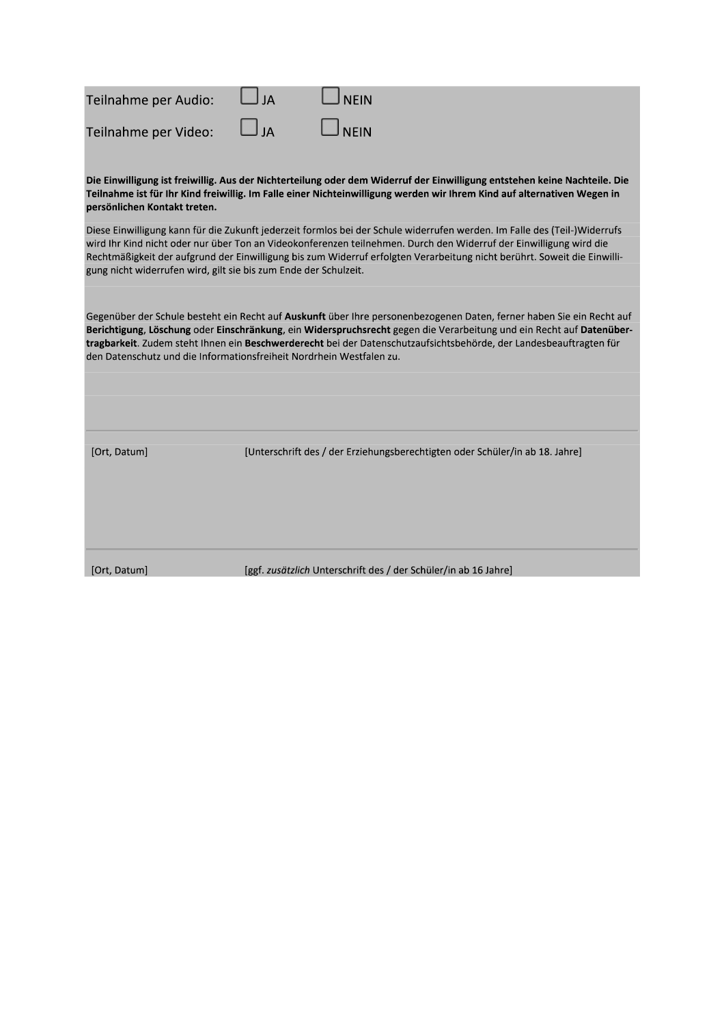| Teilnahme per Audio: | AL JA     | $\Box$ NEIN |
|----------------------|-----------|-------------|
| Teilnahme per Video: | $\Box$ JA | $\Box$ NEIN |

Die Einwilligung ist freiwillig. Aus der Nichterteilung oder dem Widerruf der Einwilligung entstehen keine Nachteile. Die Teilnahme ist für Ihr Kind freiwillig. Im Falle einer Nichteinwilligung werden wir Ihrem Kind auf alternativen Wegen in persönlichen Kontakt treten.

Diese Einwilligung kann für die Zukunft jederzeit formlos bei der Schule widerrufen werden. Im Falle des (Teil-)Widerrufs wird Ihr Kind nicht oder nur über Ton an Videokonferenzen teilnehmen. Durch den Widerruf der Einwilligung wird die Rechtmäßigkeit der aufgrund der Einwilligung bis zum Widerruf erfolgten Verarbeitung nicht berührt. Soweit die Einwilligung nicht widerrufen wird, gilt sie bis zum Ende der Schulzeit.

Gegenüber der Schule besteht ein Recht auf Auskunft über Ihre personenbezogenen Daten, ferner haben Sie ein Recht auf Berichtigung, Löschung oder Einschränkung, ein Widerspruchsrecht gegen die Verarbeitung und ein Recht auf Datenübertragbarkeit. Zudem steht Ihnen ein Beschwerderecht bei der Datenschutzaufsichtsbehörde, der Landesbeauftragten für den Datenschutz und die Informationsfreiheit Nordrhein Westfalen zu.

[Ort, Datum]

[Unterschrift des / der Erziehungsberechtigten oder Schüler/in ab 18. Jahre]

[Ort, Datum]

[ggf. zusätzlich Unterschrift des / der Schüler/in ab 16 Jahre]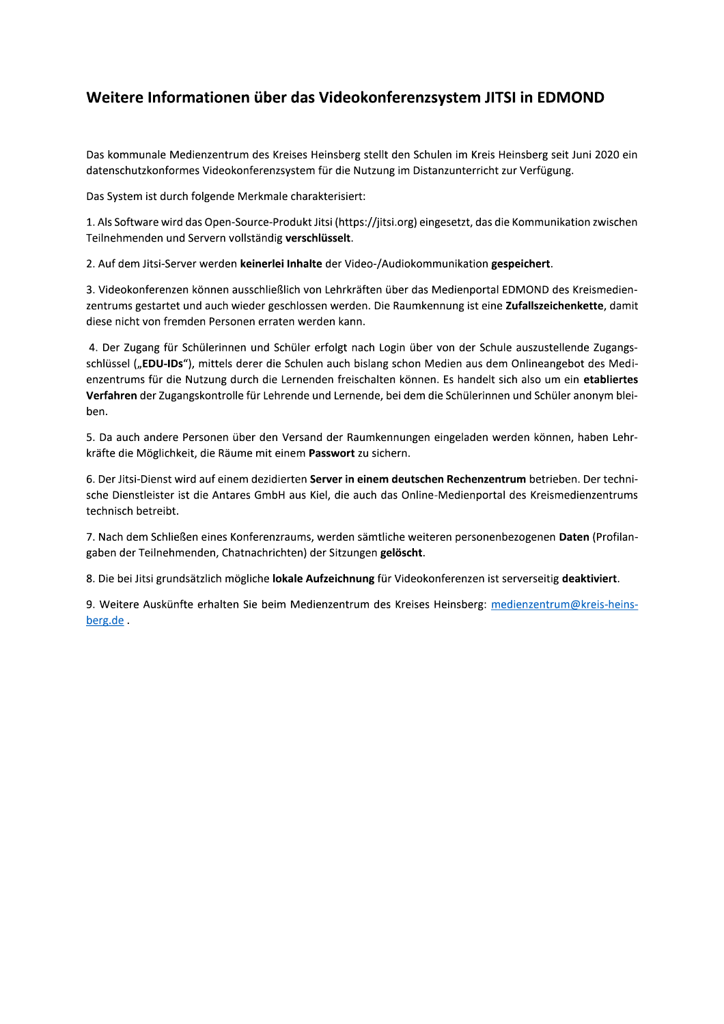### Weitere Informationen über das Videokonferenzsystem JITSI in EDMOND

Das kommunale Medienzentrum des Kreises Heinsberg stellt den Schulen im Kreis Heinsberg seit Juni 2020 ein datenschutzkonformes Videokonferenzsystem für die Nutzung im Distanzunterricht zur Verfügung.

Das System ist durch folgende Merkmale charakterisiert:

1. Als Software wird das Open-Source-Produkt Jitsi (https://jitsi.org) eingesetzt, das die Kommunikation zwischen Teilnehmenden und Servern vollständig verschlüsselt.

2. Auf dem Jitsi-Server werden keinerlei Inhalte der Video-/Audiokommunikation gespeichert.

3. Videokonferenzen können ausschließlich von Lehrkräften über das Medienportal EDMOND des Kreismedienzentrums gestartet und auch wieder geschlossen werden. Die Raumkennung ist eine Zufallszeichenkette, damit diese nicht von fremden Personen erraten werden kann.

4. Der Zugang für Schülerinnen und Schüler erfolgt nach Login über von der Schule auszustellende Zugangsschlüssel ("EDU-IDs"), mittels derer die Schulen auch bislang schon Medien aus dem Onlineangebot des Medienzentrums für die Nutzung durch die Lernenden freischalten können. Es handelt sich also um ein etabliertes Verfahren der Zugangskontrolle für Lehrende und Lernende, bei dem die Schülerinnen und Schüler anonym bleiben.

5. Da auch andere Personen über den Versand der Raumkennungen eingeladen werden können, haben Lehrkräfte die Möglichkeit, die Räume mit einem Passwort zu sichern.

6. Der Jitsi-Dienst wird auf einem dezidierten Server in einem deutschen Rechenzentrum betrieben. Der technische Dienstleister ist die Antares GmbH aus Kiel, die auch das Online-Medienportal des Kreismedienzentrums technisch betreibt.

7. Nach dem Schließen eines Konferenzraums, werden sämtliche weiteren personenbezogenen Daten (Profilangaben der Teilnehmenden, Chatnachrichten) der Sitzungen gelöscht.

8. Die bei Jitsi grundsätzlich mögliche lokale Aufzeichnung für Videokonferenzen ist serverseitig deaktiviert.

9. Weitere Auskünfte erhalten Sie beim Medienzentrum des Kreises Heinsberg: medienzentrum@kreis-heinsberg.de.